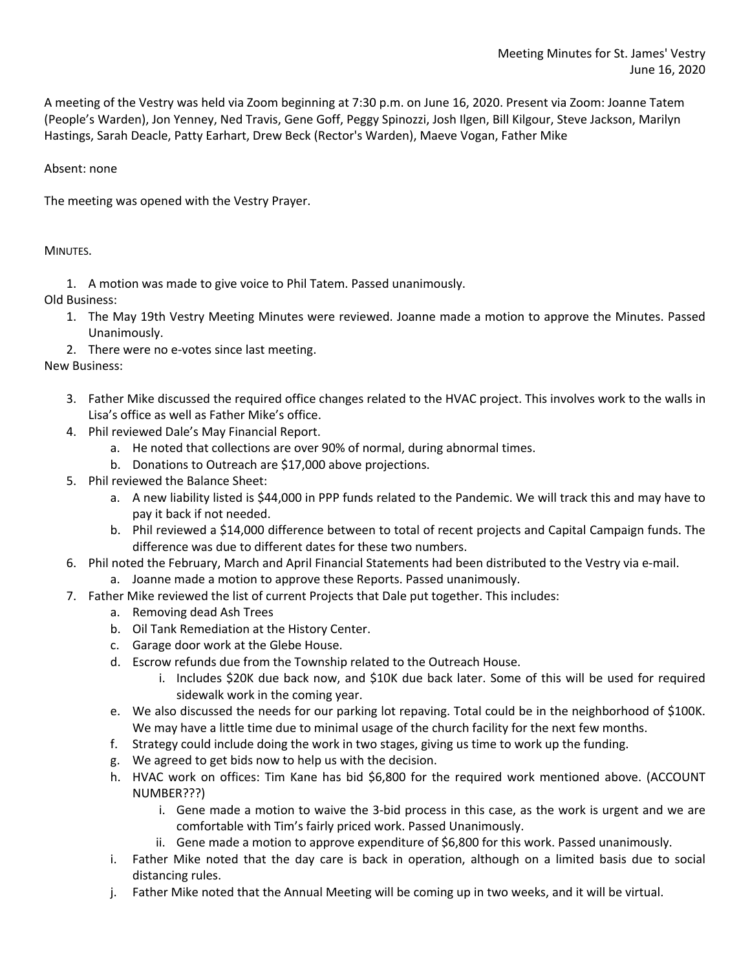A meeting of the Vestry was held via Zoom beginning at 7:30 p.m. on June 16, 2020. Present via Zoom: Joanne Tatem (People's Warden), Jon Yenney, Ned Travis, Gene Goff, Peggy Spinozzi, Josh Ilgen, Bill Kilgour, Steve Jackson, Marilyn Hastings, Sarah Deacle, Patty Earhart, Drew Beck (Rector's Warden), Maeve Vogan, Father Mike

Absent: none

The meeting was opened with the Vestry Prayer.

MINUTES.

1. A motion was made to give voice to Phil Tatem. Passed unanimously.

Old Business:

- 1. The May 19th Vestry Meeting Minutes were reviewed. Joanne made a motion to approve the Minutes. Passed Unanimously.
- 2. There were no e-votes since last meeting.

New Business:

- 3. Father Mike discussed the required office changes related to the HVAC project. This involves work to the walls in Lisa's office as well as Father Mike's office.
- 4. Phil reviewed Dale's May Financial Report.
	- a. He noted that collections are over 90% of normal, during abnormal times.
	- b. Donations to Outreach are \$17,000 above projections.
- 5. Phil reviewed the Balance Sheet:
	- a. A new liability listed is \$44,000 in PPP funds related to the Pandemic. We will track this and may have to pay it back if not needed.
	- b. Phil reviewed a \$14,000 difference between to total of recent projects and Capital Campaign funds. The difference was due to different dates for these two numbers.
- 6. Phil noted the February, March and April Financial Statements had been distributed to the Vestry via e-mail.
	- a. Joanne made a motion to approve these Reports. Passed unanimously.
- 7. Father Mike reviewed the list of current Projects that Dale put together. This includes:
	- a. Removing dead Ash Trees
	- b. Oil Tank Remediation at the History Center.
	- c. Garage door work at the Glebe House.
	- d. Escrow refunds due from the Township related to the Outreach House.
		- i. Includes \$20K due back now, and \$10K due back later. Some of this will be used for required sidewalk work in the coming year.
	- e. We also discussed the needs for our parking lot repaving. Total could be in the neighborhood of \$100K. We may have a little time due to minimal usage of the church facility for the next few months.
	- f. Strategy could include doing the work in two stages, giving us time to work up the funding.
	- g. We agreed to get bids now to help us with the decision.
	- h. HVAC work on offices: Tim Kane has bid \$6,800 for the required work mentioned above. (ACCOUNT NUMBER???)
		- i. Gene made a motion to waive the 3-bid process in this case, as the work is urgent and we are comfortable with Tim's fairly priced work. Passed Unanimously.
		- ii. Gene made a motion to approve expenditure of \$6,800 for this work. Passed unanimously.
	- i. Father Mike noted that the day care is back in operation, although on a limited basis due to social distancing rules.
	- j. Father Mike noted that the Annual Meeting will be coming up in two weeks, and it will be virtual.